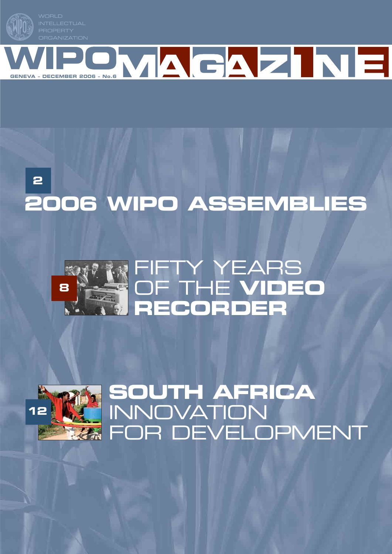







## **SOUTH AFRICA** INNOVATION **RA FOR DEVELOPMENT**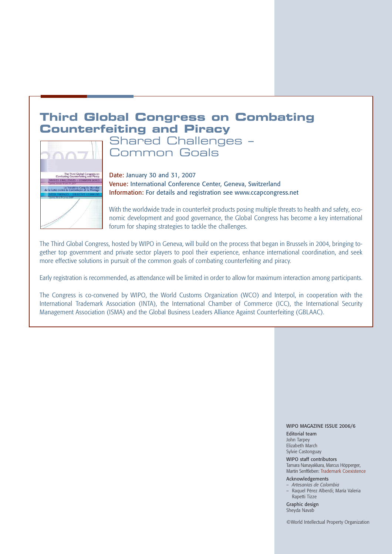## **Third Global Congress on Combating Counterfeiting and Piracy**



Shared Challenges – Common Goals

Date: January 30 and 31, 2007 Venue: International Conference Center, Geneva, Switzerland Information: For details and registration see www.ccapcongress.net

With the worldwide trade in counterfeit products posing multiple threats to health and safety, economic development and good governance, the Global Congress has become a key international forum for shaping strategies to tackle the challenges.

The Third Global Congress, hosted by WIPO in Geneva, will build on the process that began in Brussels in 2004, bringing together top government and private sector players to pool their experience, enhance international coordination, and seek more effective solutions in pursuit of the common goals of combating counterfeiting and piracy.

Early registration is recommended, as attendance will be limited in order to allow for maximum interaction among participants.

The Congress is co-convened by WIPO, the World Customs Organization (WCO) and Interpol, in cooperation with the International Trademark Association (INTA), the International Chamber of Commerce (ICC), the International Security Management Association (ISMA) and the Global Business Leaders Alliance Against Counterfeiting (GBLAAC).

#### WIPO MAGAZINE ISSUE 2006/6

Editorial team John Tarpey Elizabeth March Sylvie Castonguay

WIPO staff contributors Tamara Nanayakkara, Marcus Höpperger, Martin Senftleben: Trademark Coexistence

#### Acknowledgements

- *Artesanías de Colombia* – Raquel Pérez Alberdi; María Valeria
- Rapetti Tizze

Graphic design Sheyda Navab

©World Intellectual Property Organization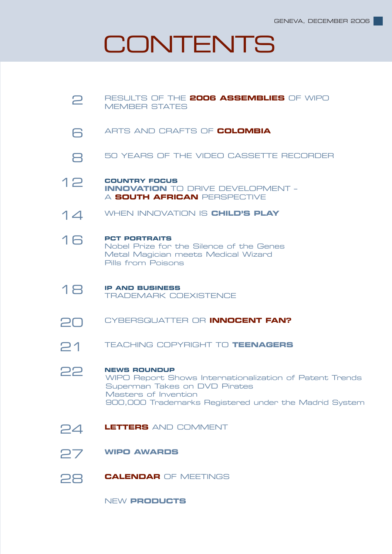# **CONTENTS**

| 2  | RESULTS OF THE 2006 ASSEMBLIES OF WIPO<br><b>MEMBER STATES</b>                                                                                                                                   |  |  |
|----|--------------------------------------------------------------------------------------------------------------------------------------------------------------------------------------------------|--|--|
| 6  | ARTS AND CRAFTS OF COLOMBIA                                                                                                                                                                      |  |  |
|    | 50 YEARS OF THE VIDEO CASSETTE RECORDER                                                                                                                                                          |  |  |
| 12 | <b>COUNTRY FOCUS</b><br><b>INNOVATION</b> TO DRIVE DEVELOPMENT -<br>A SOUTH AFRICAN PERSPECTIVE                                                                                                  |  |  |
| 14 | WHEN INNOVATION IS CHILD'S PLAY                                                                                                                                                                  |  |  |
| 16 | <b>PCT PORTRAITS</b><br>Nobel Prize for the Silence of the Genes<br>Metal Magician meets Medical Wizard<br>Pills from Poisons                                                                    |  |  |
| 18 | <b>IP AND BUSINESS</b><br><b>TRADEMARK COEXISTENCE</b>                                                                                                                                           |  |  |
| 20 | CYBERSQUATTER OR INNOCENT FAN?                                                                                                                                                                   |  |  |
| 21 | <b>TEACHING COPYRIGHT TO TEENAGERS</b>                                                                                                                                                           |  |  |
| 22 | <b>NEWS ROUNDUP</b><br>WIPO Report Shows Internationalization of Patent Trends<br>Superman Takes on DVD Pirates<br>Masters of Invention<br>900,000 Trademarks Registered under the Madrid System |  |  |
| 24 | <b>LETTERS</b> AND COMMENT                                                                                                                                                                       |  |  |
| 27 | <b>WIPO AWARDS</b>                                                                                                                                                                               |  |  |
| 28 | <b>CALENDAR OF MEETINGS</b>                                                                                                                                                                      |  |  |
|    |                                                                                                                                                                                                  |  |  |

NEW **PRODUCTS**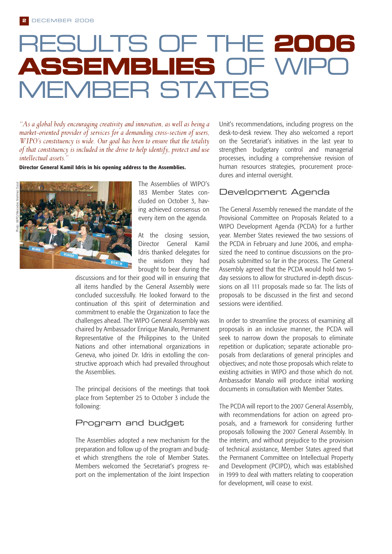# RESULTS OF THE **2006 ASSEMBLIES OF WIPO** MEMBER STATES

*"As a global body encouraging creativity and innovation, as well as being a market-oriented provider of services for a demanding cross-section of users, WIPO's constituency is wide. Our goal has been to ensure that the totality of that constituency is included in the drive to help identify, protect and use intellectual assets."* 

**Director General Kamil Idris in his opening address to the Assemblies.**



The Assemblies of WIPO's 183 Member States concluded on October 3, having achieved consensus on every item on the agenda.

At the closing session, Director General Kamil Idris thanked delegates for the wisdom they had brought to bear during the

discussions and for their good will in ensuring that all items handled by the General Assembly were concluded successfully. He looked forward to the continuation of this spirit of determination and commitment to enable the Organization to face the challenges ahead. The WIPO General Assembly was chaired by Ambassador Enrique Manalo, Permanent Representative of the Philippines to the United Nations and other international organizations in Geneva, who joined Dr. Idris in extolling the constructive approach which had prevailed throughout the Assemblies.

The principal decisions of the meetings that took place from September 25 to October 3 include the following:

#### Program and budget

The Assemblies adopted a new mechanism for the preparation and follow up of the program and budget which strengthens the role of Member States. Members welcomed the Secretariat's progress report on the implementation of the Joint Inspection Unit's recommendations, including progress on the desk-to-desk review. They also welcomed a report on the Secretariat's initiatives in the last year to strengthen budgetary control and managerial processes, including a comprehensive revision of human resources strategies, procurement procedures and internal oversight.

#### Development Agenda

The General Assembly renewed the mandate of the Provisional Committee on Proposals Related to a WIPO Development Agenda (PCDA) for a further year. Member States reviewed the two sessions of the PCDA in February and June 2006, and emphasized the need to continue discussions on the proposals submitted so far in the process. The General Assembly agreed that the PCDA would hold two 5 day sessions to allow for structured in-depth discussions on all 111 proposals made so far. The lists of proposals to be discussed in the first and second sessions were identified.

In order to streamline the process of examining all proposals in an inclusive manner, the PCDA will seek to narrow down the proposals to eliminate repetition or duplication; separate actionable proposals from declarations of general principles and objectives; and note those proposals which relate to existing activities in WIPO and those which do not. Ambassador Manalo will produce initial working documents in consultation with Member States.

The PCDA will report to the 2007 General Assembly, with recommendations for action on agreed proposals, and a framework for considering further proposals following the 2007 General Assembly. In the interim, and without prejudice to the provision of technical assistance, Member States agreed that the Permanent Committee on Intellectual Property and Development (PCIPD), which was established in 1999 to deal with matters relating to cooperation for development, will cease to exist.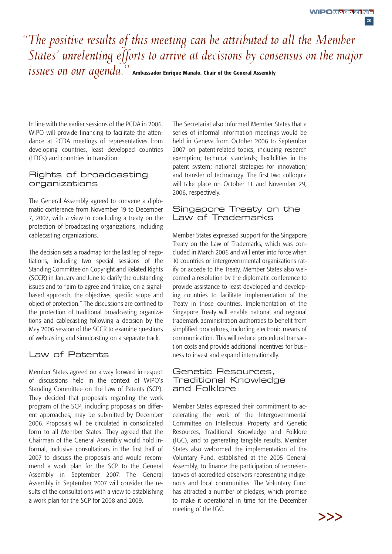**3**

## *"The positive results of this meeting can be attributed to all the Member States' unrelenting efforts to arrive at decisions by consensus on the major issues on our agenda."* **Ambassador Enrique Manalo, Chair of the General Assembly**

In line with the earlier sessions of the PCDA in 2006, WIPO will provide financing to facilitate the attendance at PCDA meetings of representatives from developing countries, least developed countries (LDCs) and countries in transition.

#### Rights of broadcasting organizations

The General Assembly agreed to convene a diplomatic conference from November 19 to December 7, 2007, with a view to concluding a treaty on the protection of broadcasting organizations, including cablecasting organizations.

The decision sets a roadmap for the last leg of negotiations, including two special sessions of the Standing Committee on Copyright and Related Rights (SCCR) in January and June to clarify the outstanding issues and to "aim to agree and finalize, on a signalbased approach, the objectives, specific scope and object of protection." The discussions are confined to the protection of traditional broadcasting organizations and cablecasting following a decision by the May 2006 session of the SCCR to examine questions of webcasting and simulcasting on a separate track.

#### Law of Patents

Member States agreed on a way forward in respect of discussions held in the context of WIPO's Standing Committee on the Law of Patents (SCP). They decided that proposals regarding the work program of the SCP, including proposals on different approaches, may be submitted by December 2006. Proposals will be circulated in consolidated form to all Member States. They agreed that the Chairman of the General Assembly would hold informal, inclusive consultations in the first half of 2007 to discuss the proposals and would recommend a work plan for the SCP to the General Assembly in September 2007. The General Assembly in September 2007 will consider the results of the consultations with a view to establishing a work plan for the SCP for 2008 and 2009.

The Secretariat also informed Member States that a series of informal information meetings would be held in Geneva from October 2006 to September 2007 on patent-related topics, including research exemption; technical standards; flexibilities in the patent system; national strategies for innovation; and transfer of technology. The first two colloquia will take place on October 11 and November 29, 2006, respectively.

#### Singapore Treaty on the Law of Trademarks

Member States expressed support for the Singapore Treaty on the Law of Trademarks, which was concluded in March 2006 and will enter into force when 10 countries or intergovernmental organizations ratify or accede to the Treaty. Member States also welcomed a resolution by the diplomatic conference to provide assistance to least developed and developing countries to facilitate implementation of the Treaty in those countries. Implementation of the Singapore Treaty will enable national and regional trademark administration authorities to benefit from simplified procedures, including electronic means of communication. This will reduce procedural transaction costs and provide additional incentives for business to invest and expand internationally.

#### Genetic Resources, Traditional Knowledge and Folklore

Member States expressed their commitment to accelerating the work of the Intergovernmental Committee on Intellectual Property and Genetic Resources, Traditional Knowledge and Folklore (IGC), and to generating tangible results. Member States also welcomed the implementation of the Voluntary Fund, established at the 2005 General Assembly, to finance the participation of representatives of accredited observers representing indigenous and local communities. The Voluntary Fund has attracted a number of pledges, which promise to make it operational in time for the December meeting of the IGC.

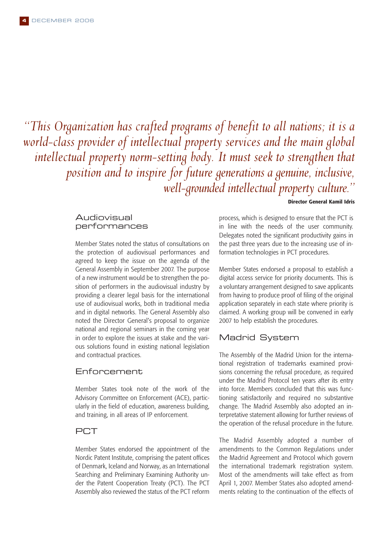*"This Organization has crafted programs of benefit to all nations; it is a world-class provider of intellectual property services and the main global intellectual property norm-setting body. It must seek to strengthen that position and to inspire for future generations a genuine, inclusive, well-grounded intellectual property culture."*

#### **Director General Kamil Idris**

#### Audiovisual performances

Member States noted the status of consultations on the protection of audiovisual performances and agreed to keep the issue on the agenda of the General Assembly in September 2007. The purpose of a new instrument would be to strengthen the position of performers in the audiovisual industry by providing a clearer legal basis for the international use of audiovisual works, both in traditional media and in digital networks. The General Assembly also noted the Director General's proposal to organize national and regional seminars in the coming year in order to explore the issues at stake and the various solutions found in existing national legislation and contractual practices.

#### Enforcement

Member States took note of the work of the Advisory Committee on Enforcement (ACE), particularly in the field of education, awareness building, and training, in all areas of IP enforcement.

#### **PCT**

Member States endorsed the appointment of the Nordic Patent Institute, comprising the patent offices of Denmark, Iceland and Norway, as an International Searching and Preliminary Examining Authority under the Patent Cooperation Treaty (PCT). The PCT Assembly also reviewed the status of the PCT reform

process, which is designed to ensure that the PCT is in line with the needs of the user community. Delegates noted the significant productivity gains in the past three years due to the increasing use of information technologies in PCT procedures.

Member States endorsed a proposal to establish a digital access service for priority documents. This is a voluntary arrangement designed to save applicants from having to produce proof of filing of the original application separately in each state where priority is claimed. A working group will be convened in early 2007 to help establish the procedures.

#### Madrid System

The Assembly of the Madrid Union for the international registration of trademarks examined provisions concerning the refusal procedure, as required under the Madrid Protocol ten years after its entry into force. Members concluded that this was functioning satisfactorily and required no substantive change. The Madrid Assembly also adopted an interpretative statement allowing for further reviews of the operation of the refusal procedure in the future.

The Madrid Assembly adopted a number of amendments to the Common Regulations under the Madrid Agreement and Protocol which govern the international trademark registration system. Most of the amendments will take effect as from April 1, 2007. Member States also adopted amendments relating to the continuation of the effects of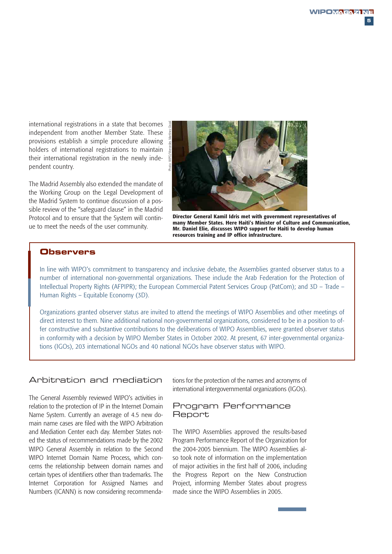international registrations in a state that becomes independent from another Member State. These provisions establish a simple procedure allowing holders of international registrations to maintain their international registration in the newly independent country.

The Madrid Assembly also extended the mandate of the Working Group on the Legal Development of the Madrid System to continue discussion of a possible review of the "safeguard clause" in the Madrid Protocol and to ensure that the System will continue to meet the needs of the user community.



**Director General Kamil Idris met with government representatives of many Member States. Here Haiti's Minister of Culture and Communication, Mr. Daniel Elie, discusses WIPO support for Haiti to develop human resources training and IP office infrastructure.**

#### **Observers**

In line with WIPO's commitment to transparency and inclusive debate, the Assemblies granted observer status to a number of international non-governmental organizations. These include the Arab Federation for the Protection of Intellectual Property Rights (AFPIPR); the European Commercial Patent Services Group (PatCom); and 3D – Trade – Human Rights – Equitable Economy (3D).

Organizations granted observer status are invited to attend the meetings of WIPO Assemblies and other meetings of direct interest to them. Nine additional national non-governmental organizations, considered to be in a position to offer constructive and substantive contributions to the deliberations of WIPO Assemblies, were granted observer status in conformity with a decision by WIPO Member States in October 2002. At present, 67 inter-governmental organizations (IGOs), 203 international NGOs and 40 national NGOs have observer status with WIPO.

#### Arbitration and mediation

The General Assembly reviewed WIPO's activities in relation to the protection of IP in the Internet Domain Name System. Currently an average of 4.5 new domain name cases are filed with the WIPO Arbitration and Mediation Center each day. Member States noted the status of recommendations made by the 2002 WIPO General Assembly in relation to the Second WIPO Internet Domain Name Process, which concerns the relationship between domain names and certain types of identifiers other than trademarks. The Internet Corporation for Assigned Names and Numbers (ICANN) is now considering recommendations for the protection of the names and acronyms of international intergovernmental organizations (IGOs).

#### Program Performance **Report**

The WIPO Assemblies approved the results-based Program Performance Report of the Organization for the 2004-2005 biennium. The WIPO Assemblies also took note of information on the implementation of major activities in the first half of 2006, including the Progress Report on the New Construction Project, informing Member States about progress made since the WIPO Assemblies in 2005.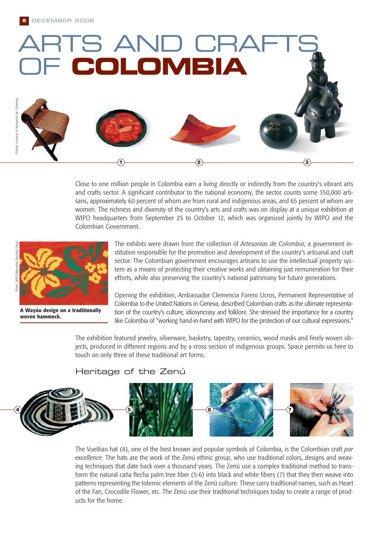

Close to one million people in Colombia earn a living directly or indirectly from the country's vibrant arts and crafts sector. A significant contributor to the national economy, the sector counts some 350,000 artisans, approximately 60 percent of whom are from rural and indigenous areas, and 65 percent of whom are women. The richness and diversity of the country's arts and crafts was on display at a unique exhibition at WIPO headquarters from September 25 to October 12, which was organized jointly by WIPO and the Colombian Government.



**A Wayúu design on a traditionally woven hammock.**

The exhibits were drawn from the collection of *Artesanías de Colombia*, a government institution responsible for the promotion and development of the country's artisanal and craft sector. The Colombian government encourages artisans to use the intellectual property system as a means of protecting their creative works and obtaining just remuneration for their efforts, while also preserving the country's national patrimony for future generations.

Opening the exhibition, Ambassador Clemencia Forero Ucros, Permanent Representative of Colombia to the United Nations in Geneva, described Colombian crafts as the ultimate representation of the country's culture, idiosyncrasy and folklore. She stressed the importance for a country like Colombia of "working hand-in-hand with WIPO for the protection of our cultural expressions."

The exhibition featured jewelry, silverware, basketry, tapestry, ceramics, wood masks and finely woven objects, produced in different regions and by a cross section of indigenous groups. Space permits us here to touch on only three of these traditional art forms.

#### Heritage of the Zenú



The Vueltiao hat (4), one of the best known and popular symbols of Colombia, is the Colombian craft *par excellence*. The hats are the work of the Zenú ethnic group, who use traditional colors, designs and weaving techniques that date back over a thousand years. The Zenú use a complex traditional method to transform the natural caña flecha palm tree fiber (5-6) into black and white fibers (7) that they then weave into patterns representing the totemic elements of the Zenú culture. These carry traditional names, such as Heart of the Fan, Crocodile Flower, etc. The Zenú use their traditional techniques today to create a range of products for the home.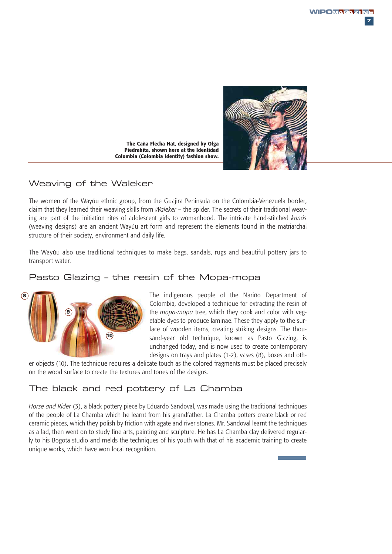

**The Caña Flecha Hat, designed by Olga Piedrahita, shown here at the Identidad Colombia (Colombia Identity) fashion show.**

#### Weaving of the Waleker

The women of the Wayúu ethnic group, from the Guajira Peninsula on the Colombia-Venezuela border, claim that they learned their weaving skills from *Waleker* – the spider. The secrets of their traditional weaving are part of the initiation rites of adolescent girls to womanhood. The intricate hand-stitched *kanás* (weaving designs) are an ancient Wayúu art form and represent the elements found in the matriarchal structure of their society, environment and daily life.

The Wayúu also use traditional techniques to make bags, sandals, rugs and beautiful pottery jars to transport water.

#### Pasto Glazing – the resin of the Mopa-mopa



The indigenous people of the Nariño Department of Colombia, developed a technique for extracting the resin of the *mopa-mopa* tree, which they cook and color with vegetable dyes to produce laminae. These they apply to the surface of wooden items, creating striking designs. The thousand-year old technique, known as Pasto Glazing, is unchanged today, and is now used to create contemporary designs on trays and plates (1-2), vases (8), boxes and oth-

er objects (10). The technique requires a delicate touch as the colored fragments must be placed precisely on the wood surface to create the textures and tones of the designs.

#### The black and red pottery of La Chamba

*Horse and Rider* (3), a black pottery piece by Eduardo Sandoval, was made using the traditional techniques of the people of La Chamba which he learnt from his grandfather. La Chamba potters create black or red ceramic pieces, which they polish by friction with agate and river stones. Mr. Sandoval learnt the techniques as a lad, then went on to study fine arts, painting and sculpture. He has La Chamba clay delivered regularly to his Bogota studio and melds the techniques of his youth with that of his academic training to create unique works, which have won local recognition.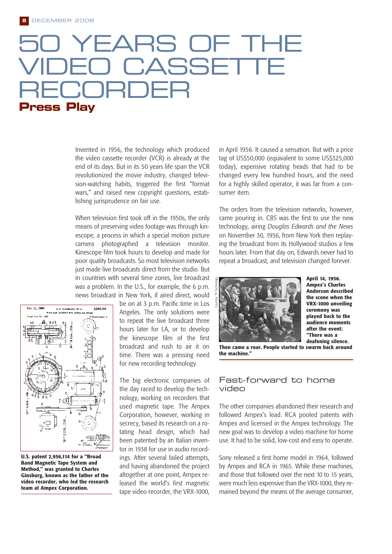## EARS OF TH CASSETT RECTE B **Press Play**

Invented in 1956, the technology which produced the video cassette recorder (VCR) is already at the end of its days. But in its 50 years life span the VCR revolutionized the movie industry, changed television-watching habits, triggered the first "format wars," and raised new copyright questions, establishing jurisprudence on fair use.

When television first took off in the 1950s, the only means of preserving video footage was through kinescope, a process in which a special motion picture camera photographed a television monitor. Kinescope film took hours to develop and made for poor quality broadcasts. So most television networks just made live broadcasts direct from the studio. But in countries with several time zones, live broadcast was a problem. In the U.S., for example, the 6 p.m. news broadcast in New York, if aired direct, would



**U.S. patent 2,956,114 for a "Broad Band Magnetic Tape System and Method," was granted to Charles Ginsburg, known as the father of the video recorder, who led the research team at Ampex Corporation.**

be on at 3 p.m. Pacific time in Los Angeles. The only solutions were to repeat the live broadcast three hours later for LA, or to develop the kinescope film of the first broadcast and rush to air it on time. There was a pressing need for new recording technology.

The big electronic companies of the day raced to develop the technology, working on recorders that used magnetic tape. The Ampex Corporation, however, working in secrecy, based its research on a rotating head design, which had been patented by an Italian inventor in 1938 for use in audio recordings. After several failed attempts, and having abandoned the project altogether at one point, Ampex released the world's first magnetic tape video recorder, the VRX-1000,

in April 1956. It caused a sensation. But with a price tag of US\$50,000 (equivalent to some US\$325,000 today), expensive rotating heads that had to be changed every few hundred hours, and the need for a highly skilled operator, it was far from a consumer item.

The orders from the television networks, however, came pouring in. CBS was the first to use the new technology, airing *Douglas Edwards and the News* on November 30, 1956, from New York then replaying the broadcast from its Hollywood studios a few hours later. From that day on, Edwards never had to repeat a broadcast, and television changed forever.



**April 14, 1956. Ampex's Charles Anderson described the scene when the VRX-1000 unveiling ceremony was played back to the audience moments after the event: "There was a deafening silence.**

**Then came a roar. People started to swarm back around the machine."**

#### Fast-forward to home video

The other companies abandoned their research and followed Ampex's lead. RCA pooled patents with Ampex and licensed in the Ampex technology. The new goal was to develop a video machine for home use. It had to be solid, low-cost and easy to operate.

Sony released a first home model in 1964, followed by Ampex and RCA in 1965. While these machines, and those that followed over the next 10 to 15 years, were much less expensive than the VRX-1000, they remained beyond the means of the average consumer,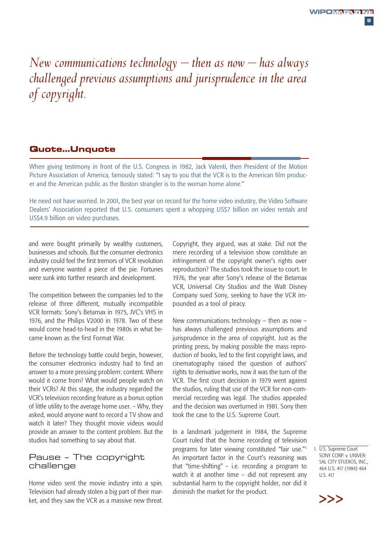**9**

## *New communications technology – then as now – has always challenged previous assumptions and jurisprudence in the area of copyright.*

#### **Quote…Unquote**

When giving testimony in front of the U.S. Congress in 1982, Jack Valenti, then President of the Motion Picture Association of America, famously stated: "I say to you that the VCR is to the American film producer and the American public as the Boston strangler is to the woman home alone."

He need not have worried. In 2001, the best year on record for the home video industry, the Video Software Dealers' Association reported that U.S. consumers spent a whopping US\$7 billion on video rentals and US\$4.9 billion on video purchases.

and were bought primarily by wealthy customers, businesses and schools. But the consumer electronics industry could feel the first tremors of VCR revolution and everyone wanted a piece of the pie. Fortunes were sunk into further research and development.

The competition between the companies led to the release of three different, mutually incompatible VCR formats: Sony's Betamax in 1975, JVC's VHS in 1976, and the Philips V2000 in 1978. Two of these would come head-to-head in the 1980s in what became known as the first Format War.

Before the technology battle could begin, however, the consumer electronics industry had to find an answer to a more pressing problem: content. Where would it come from? What would people watch on their VCRs? At this stage, the industry regarded the VCR's television recording feature as a bonus option of little utility to the average home user. – Why, they asked, would anyone want to record a TV show and watch it later? They thought movie videos would provide an answer to the content problem. But the studios had something to say about that.

#### Pause – The copyright challenge

Home video sent the movie industry into a spin. Television had already stolen a big part of their market, and they saw the VCR as a massive new threat. Copyright, they argued, was at stake. Did not the mere recording of a television show constitute an infringement of the copyright owner's rights over reproduction? The studios took the issue to court. In 1976, the year after Sony's release of the Betamax VCR, Universal City Studios and the Walt Disney Company sued Sony, seeking to have the VCR impounded as a tool of piracy.

New communications technology – then as now – has always challenged previous assumptions and jurisprudence in the area of copyright. Just as the printing press, by making possible the mass reproduction of books, led to the first copyright laws, and cinematography raised the question of authors' rights to derivative works, now it was the turn of the VCR. The first court decision in 1979 went against the studios, ruling that use of the VCR for non-commercial recording was legal. The studios appealed and the decision was overturned in 1981. Sony then took the case to the U.S. Supreme Court.

In a landmark judgement in 1984, the Supreme Court ruled that the home recording of television programs for later viewing constituted "fair use."<sup>1</sup> An important factor in the Court's reasoning was that "time-shifting" – i.e. recording a program to watch it at another time – did not represent any substantial harm to the copyright holder, nor did it diminish the market for the product.

1. U.S. Supreme Court SONY CORP. v. UNIVER-SAL CITY STUDIOS, INC., 464 U.S. 417 (1984) 464 U.S. 417

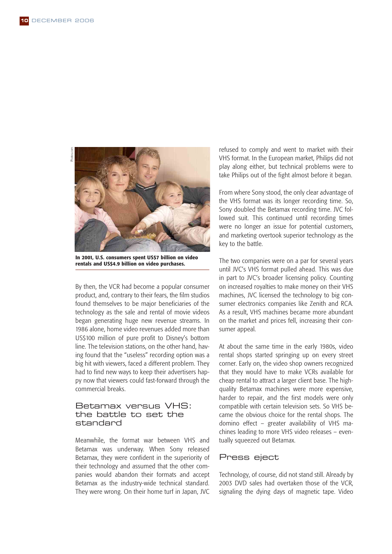Photos.comhotos.com



**In 2001, U.S. consumers spent US\$7 billion on video rentals and US\$4.9 billion on video purchases.**

By then, the VCR had become a popular consumer product, and, contrary to their fears, the film studios found themselves to be major beneficiaries of the technology as the sale and rental of movie videos began generating huge new revenue streams. In 1986 alone, home video revenues added more than US\$100 million of pure profit to Disney's bottom line. The television stations, on the other hand, having found that the "useless" recording option was a big hit with viewers, faced a different problem. They had to find new ways to keep their advertisers happy now that viewers could fast-forward through the commercial breaks.

#### Betamax versus VHS: the battle to set the standard

Meanwhile, the format war between VHS and Betamax was underway. When Sony released Betamax, they were confident in the superiority of their technology and assumed that the other companies would abandon their formats and accept Betamax as the industry-wide technical standard. They were wrong. On their home turf in Japan, JVC

refused to comply and went to market with their VHS format. In the European market, Philips did not play along either, but technical problems were to take Philips out of the fight almost before it began.

From where Sony stood, the only clear advantage of the VHS format was its longer recording time. So, Sony doubled the Betamax recording time. JVC followed suit. This continued until recording times were no longer an issue for potential customers, and marketing overtook superior technology as the key to the battle.

The two companies were on a par for several years until JVC's VHS format pulled ahead. This was due in part to JVC's broader licensing policy. Counting on increased royalties to make money on their VHS machines, JVC licensed the technology to big consumer electronics companies like Zenith and RCA. As a result, VHS machines became more abundant on the market and prices fell, increasing their consumer appeal.

At about the same time in the early 1980s, video rental shops started springing up on every street corner. Early on, the video shop owners recognized that they would have to make VCRs available for cheap rental to attract a larger client base. The highquality Betamax machines were more expensive, harder to repair, and the first models were only compatible with certain television sets. So VHS became the obvious choice for the rental shops. The domino effect – greater availability of VHS machines leading to more VHS video releases – eventually squeezed out Betamax.

#### Press eject

Technology, of course, did not stand still. Already by 2003 DVD sales had overtaken those of the VCR, signaling the dying days of magnetic tape. Video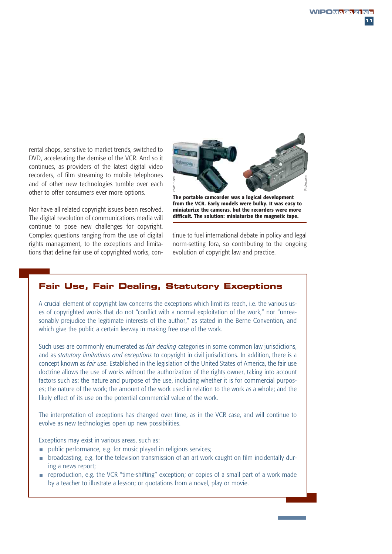rental shops, sensitive to market trends, switched to DVD, accelerating the demise of the VCR. And so it continues, as providers of the latest digital video recorders, of film streaming to mobile telephones and of other new technologies tumble over each other to offer consumers ever more options.

Nor have all related copyright issues been resolved. The digital revolution of communications media will continue to pose new challenges for copyright. Complex questions ranging from the use of digital rights management, to the exceptions and limitations that define fair use of copyrighted works, con-



**The portable camcorder was a logical development from the VCR. Early models were bulky. It was easy to miniaturize the cameras, but the recorders were more difficult. The solution: miniaturize the magnetic tape.**

tinue to fuel international debate in policy and legal norm-setting fora, so contributing to the ongoing evolution of copyright law and practice.

#### **Fair Use, Fair Dealing, Statutory Exceptions**

A crucial element of copyright law concerns the exceptions which limit its reach, i.e. the various uses of copyrighted works that do not "conflict with a normal exploitation of the work," nor "unreasonably prejudice the legitimate interests of the author," as stated in the Berne Convention, and which give the public a certain leeway in making free use of the work.

Such uses are commonly enumerated as *fair dealing* categories in some common law jurisdictions, and as *statutory limitations and exceptions* to copyright in civil jurisdictions. In addition, there is a concept known as *fair use*. Established in the legislation of the United States of America, the fair use doctrine allows the use of works without the authorization of the rights owner, taking into account factors such as: the nature and purpose of the use, including whether it is for commercial purposes; the nature of the work; the amount of the work used in relation to the work as a whole; and the likely effect of its use on the potential commercial value of the work. by the mean to the periodic method in the **calculation** of the real increasion of the real increasion of or consumers ever more potions.<br> **The portable cancerates were all the consumers were converged to the car carry mode** 

The interpretation of exceptions has changed over time, as in the VCR case, and will continue to evolve as new technologies open up new possibilities.

Exceptions may exist in various areas, such as:

- **public performance, e.g. for music played in religious services;**
- broadcasting, e.g. for the television transmission of an art work caught on film incidentally dur- $\overline{\phantom{a}}$ ing a news report;
- $\blacksquare$  reproduction, e.g. the VCR "time-shifting" exception; or copies of a small part of a work made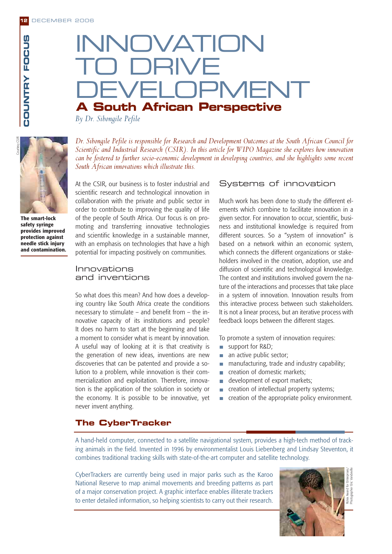## INNOVATION TO DRIVE FI OPMENT **A South African Perspective**

*By Dr. Sibongile Pefile*



**The smart-lock safety syringe provides improved protection against needle stick injury and contamination.**

*Dr. Sibongile Pefile is responsible for Research and Development Outcomes at the South African Council for Scientific and Industrial Research (CSIR). In this article for WIPO Magazine she explores how innovation can be fostered to further socio-economic development in developing countries, and she highlights some recent South African innovations which illustrate this.*

At the CSIR, our business is to foster industrial and scientific research and technological innovation in collaboration with the private and public sector in order to contribute to improving the quality of life of the people of South Africa. Our focus is on promoting and transferring innovative technologies and scientific knowledge in a sustainable manner, with an emphasis on technologies that have a high potential for impacting positively on communities.

#### Innovations and inventions

So what does this mean? And how does a developing country like South Africa create the conditions necessary to stimulate – and benefit from – the innovative capacity of its institutions and people? It does no harm to start at the beginning and take a moment to consider what is meant by innovation. A useful way of looking at it is that creativity is the generation of new ideas, inventions are new discoveries that can be patented and provide a solution to a problem, while innovation is their commercialization and exploitation. Therefore, innovation is the application of the solution in society or the economy. It is possible to be innovative, yet never invent anything.

#### Systems of innovation

Much work has been done to study the different elements which combine to facilitate innovation in a given sector. For innovation to occur, scientific, business and institutional knowledge is required from different sources. So a "system of innovation" is based on a network within an economic system, which connects the different organizations or stakeholders involved in the creation, adoption, use and diffusion of scientific and technological knowledge. The context and institutions involved govern the nature of the interactions and processes that take place in a system of innovation. Innovation results from this interactive process between such stakeholders. It is not a linear process, but an iterative process with feedback loops between the different stages.

To promote a system of innovation requires:

- support for R&D;
- an active public sector;
- **manufacturing, trade and industry capability;**
- creation of domestic markets;  $\overline{\phantom{a}}$
- development of export markets;  $\overline{\phantom{a}}$
- creation of intellectual property systems; m.
- creation of the appropriate policy environment. $\overline{\phantom{a}}$

#### **The CyberTracker**

A hand-held computer, connected to a satellite navigational system, provides a high-tech method of tracking animals in the field. Invented in 1996 by environmentalist Louis Liebenberg and Lindsay Steventon, it combines traditional tracking skills with state-of-the-art computer and satellite technology.

CyberTrackers are currently being used in major parks such as the Karoo National Reserve to map animal movements and breeding patterns as part of a major conservation project. A graphic interface enables illiterate trackers to enter detailed information, so helping scientists to carry out their research.

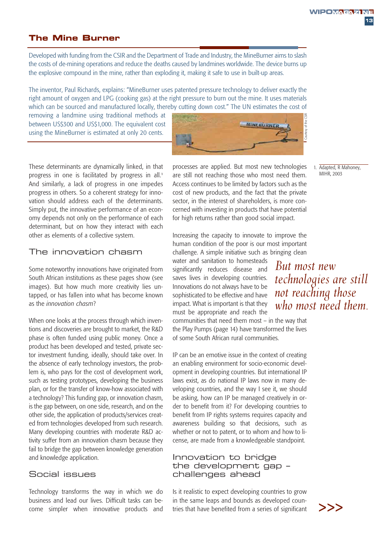1. Adapted, R Mahoney, MIHR, 2003

#### **The Mine Burner**

Developed with funding from the CSIR and the Department of Trade and Industry, the MineBurner aims to slash the costs of de-mining operations and reduce the deaths caused by landmines worldwide. The device burns up the explosive compound in the mine, rather than exploding it, making it safe to use in built-up areas.

The inventor, Paul Richards, explains: "MineBurner uses patented pressure technology to deliver exactly the right amount of oxygen and LPG (cooking gas) at the right pressure to burn out the mine. It uses materials which can be sourced and manufactured locally, thereby cutting down cost." The UN estimates the cost of

removing a landmine using traditional methods at between US\$300 and US\$1,000. The equivalent cost using the MineBurner is estimated at only 20 cents.



These determinants are dynamically linked, in that progress in one is facilitated by progress in all.<sup>1</sup> And similarly, a lack of progress in one impedes progress in others. So a coherent strategy for innovation should address each of the determinants. Simply put, the innovative performance of an economy depends not only on the performance of each determinant, but on how they interact with each other as elements of a collective system.

#### The innovation chasm

Some noteworthy innovations have originated from South African institutions as these pages show (see images). But how much more creativity lies untapped, or has fallen into what has become known as the *innovation chasm*?

When one looks at the process through which inventions and discoveries are brought to market, the R&D phase is often funded using public money. Once a product has been developed and tested, private sector investment funding, ideally, should take over. In the absence of early technology investors, the problem is, who pays for the cost of development work, such as testing prototypes, developing the business plan, or for the transfer of know-how associated with a technology? This funding gap, or innovation chasm, is the gap between, on one side, research, and on the other side, the application of products/services created from technologies developed from such research. Many developing countries with moderate R&D activity suffer from an innovation chasm because they fail to bridge the gap between knowledge generation and knowledge application.

#### Social issues

Technology transforms the way in which we do business and lead our lives. Difficult tasks can become simpler when innovative products and processes are applied. But most new technologies are still not reaching those who most need them. Access continues to be limited by factors such as the cost of new products, and the fact that the private sector, in the interest of shareholders, is more concerned with investing in products that have potential for high returns rather than good social impact.

Increasing the capacity to innovate to improve the human condition of the poor is our most important challenge. A simple initiative such as bringing clean

water and sanitation to homesteads significantly reduces disease and saves lives in developing countries. Innovations do not always have to be sophisticated to be effective and have impact. What is important is that they must be appropriate and reach the

*But most new technologies are still not reaching those who most need them.* 

communities that need them most – in the way that the Play Pumps (page 14) have transformed the lives of some South African rural communities.

IP can be an emotive issue in the context of creating an enabling environment for socio-economic development in developing countries. But international IP laws exist, as do national IP laws now in many developing countries, and the way I see it, we should be asking, how can IP be managed creatively in order to benefit from it? For developing countries to benefit from IP rights systems requires capacity and awareness building so that decisions, such as whether or not to patent, or to whom and how to license, are made from a knowledgeable standpoint.

#### Innovation to bridge the development gap – challenges ahead

Is it realistic to expect developing countries to grow in the same leaps and bounds as developed countries that have benefited from a series of significant  $\geq$ 

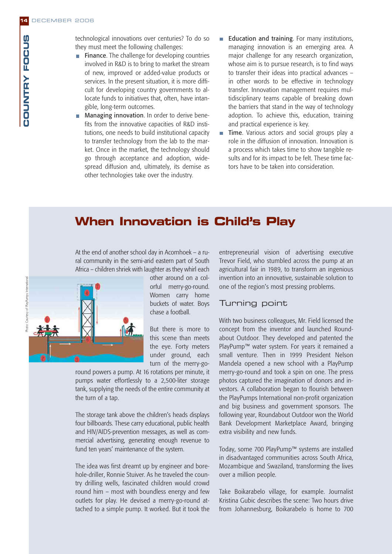technological innovations over centuries? To do so they must meet the following challenges:

- $\blacksquare$  Finance. The challenge for developing countries involved in R&D is to bring to market the stream of new, improved or added-value products or services. In the present situation, it is more difficult for developing country governments to allocate funds to initiatives that, often, have intangible, long-term outcomes.
- **Managing innovation.** In order to derive benefits from the innovative capacities of R&D institutions, one needs to build institutional capacity to transfer technology from the lab to the market. Once in the market, the technology should go through acceptance and adoption, widespread diffusion and, ultimately, its demise as other technologies take over the industry.
- Education and training. For many institutions, managing innovation is an emerging area. A major challenge for any research organization, whose aim is to pursue research, is to find ways to transfer their ideas into practical advances – in other words to be effective in technology transfer. Innovation management requires multidisciplinary teams capable of breaking down the barriers that stand in the way of technology adoption. To achieve this, education, training and practical experience is key.
- Time. Various actors and social groups play a  $\overline{\phantom{a}}$ role in the diffusion of innovation. Innovation is a process which takes time to show tangible results and for its impact to be felt. These time factors have to be taken into consideration.

### **When Innovation is Child's Play**

At the end of another school day in Acornhoek – a rural community in the semi-arid eastern part of South Africa – children shriek with laughter as they whirl each



other around on a colorful merry-go-round. Women carry home buckets of water. Boys chase a football.

But there is more to this scene than meets the eye. Forty meters under ground, each turn of the merry-go-

round powers a pump. At 16 rotations per minute, it pumps water effortlessly to a 2,500-liter storage tank, supplying the needs of the entire community at the turn of a tap.

The storage tank above the children's heads displays four billboards. These carry educational, public health and HIV/AIDS-prevention messages, as well as commercial advertising, generating enough revenue to fund ten years' maintenance of the system.

The idea was first dreamt up by engineer and borehole-driller, Ronnie Stuiver. As he traveled the country drilling wells, fascinated children would crowd round him – most with boundless energy and few outlets for play. He devised a merry-go-round attached to a simple pump. It worked. But it took the

entrepreneurial vision of advertising executive Trevor Field, who stumbled across the pump at an agricultural fair in 1989, to transform an ingenious invention into an innovative, sustainable solution to one of the region's most pressing problems.

#### Turning point

With two business colleagues, Mr. Field licensed the concept from the inventor and launched Roundabout Outdoor. They developed and patented the PlayPump™ water system. For years it remained a small venture. Then in 1999 President Nelson Mandela opened a new school with a PlayPump merry-go-round and took a spin on one. The press photos captured the imagination of donors and investors. A collaboration began to flourish between the PlayPumps International non-profit organization and big business and government sponsors. The following year, Roundabout Outdoor won the World Bank Development Marketplace Award, bringing extra visibility and new funds.

Today, some 700 PlayPump™ systems are installed in disadvantaged communities across South Africa, Mozambique and Swaziland, transforming the lives over a million people.

Take Boikarabelo village, for example. Journalist Kristina Gubic describes the scene: Two hours drive from Johannesburg, Boikarabelo is home to 700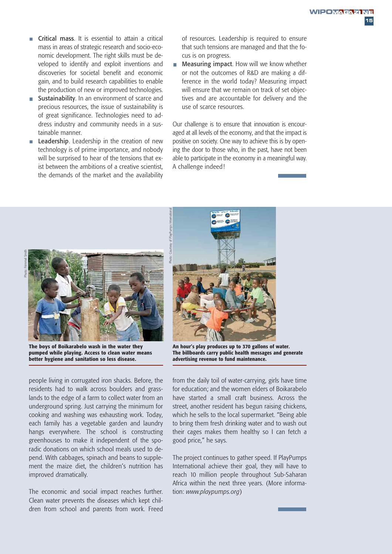**15**

- $\overline{\mathbb{R}}$ Critical mass. It is essential to attain a critical mass in areas of strategic research and socio-economic development. The right skills must be developed to identify and exploit inventions and discoveries for societal benefit and economic gain, and to build research capabilities to enable the production of new or improved technologies.
- Sustainability. In an environment of scarce and precious resources, the issue of sustainability is of great significance. Technologies need to address industry and community needs in a sustainable manner.
- Leadership. Leadership in the creation of new  $\overline{\phantom{a}}$ technology is of prime importance, and nobody will be surprised to hear of the tensions that exist between the ambitions of a creative scientist, the demands of the market and the availability

of resources. Leadership is required to ensure that such tensions are managed and that the focus is on progress.

 $\Box$ Measuring impact. How will we know whether or not the outcomes of R&D are making a difference in the world today? Measuring impact will ensure that we remain on track of set objectives and are accountable for delivery and the use of scarce resources.

Our challenge is to ensure that innovation is encouraged at all levels of the economy, and that the impact is positive on society. One way to achieve this is by opening the door to those who, in the past, have not been able to participate in the economy in a meaningful way. A challenge indeed!



**The boys of Boikarabelo wash in the water they pumped while playing. Access to clean water means better hygiene and sanitation so less disease.**

people living in corrugated iron shacks. Before, the residents had to walk across boulders and grasslands to the edge of a farm to collect water from an underground spring. Just carrying the minimum for cooking and washing was exhausting work. Today, each family has a vegetable garden and laundry hangs everywhere. The school is constructing greenhouses to make it independent of the sporadic donations on which school meals used to depend. With cabbages, spinach and beans to supplement the maize diet, the children's nutrition has improved dramatically.

The economic and social impact reaches further. Clean water prevents the diseases which kept children from school and parents from work. Freed



**An hour's play produces up to 370 gallons of water. The billboards carry public health messages and generate advertising revenue to fund maintenance.**

from the daily toil of water-carrying, girls have time for education; and the women elders of Boikarabelo have started a small craft business. Across the street, another resident has begun raising chickens, which he sells to the local supermarket. "Being able to bring them fresh drinking water and to wash out their cages makes them healthy so I can fetch a good price," he says.

The project continues to gather speed. If PlayPumps International achieve their goal, they will have to reach 10 million people throughout Sub-Saharan Africa within the next three years. (More information: *www.playpumps.org*)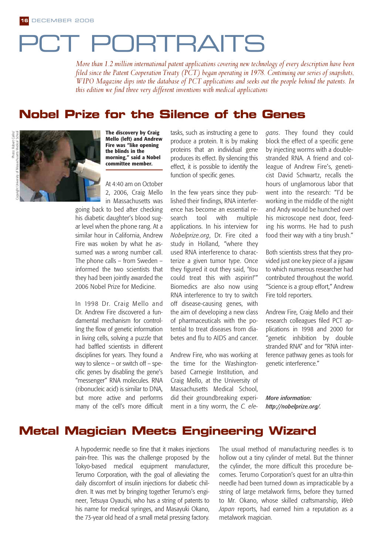# PCT PORTRAITS

*More than 1.2 million international patent applications covering new technology of every description have been filed since the Patent Cooperation Treaty (PCT) began operating in 1978. Continuing our series of snapshots, WIPO Magazine dips into the database of PCT applications and seeks out the people behind the patents. In this edition we find three very different inventions with medical applications*

### **Nobel Prize for the Silence of the Genes**



**The discovery by Craig Mello (left) and Andrew Fire was "like opening the blinds in the morning," said a Nobel committee member.** 

At 4:40 am on October 2, 2006, Craig Mello in Massachusetts was

going back to bed after checking his diabetic daughter's blood sugar level when the phone rang. At a similar hour in California, Andrew Fire was woken by what he assumed was a wrong number call. The phone calls – from Sweden – informed the two scientists that they had been jointly awarded the 2006 Nobel Prize for Medicine.

In 1998 Dr. Craig Mello and Dr. Andrew Fire discovered a fundamental mechanism for controlling the flow of genetic information in living cells, solving a puzzle that had baffled scientists in different disciplines for years. They found a way to silence – or switch off – specific genes by disabling the gene's "messenger" RNA molecules. RNA (ribonucleic acid) is similar to DNA, but more active and performs many of the cell's more difficult tasks, such as instructing a gene to produce a protein. It is by making proteins that an individual gene produces its effect. By silencing this effect, it is possible to identify the function of specific genes.

In the few years since they published their findings, RNA interference has become an essential research tool with multiple applications. In his interview for *Nobelprize.org*, Dr. Fire cited a study in Holland, "where they used RNA interference to characterize a given tumor type. Once they figured it out they said, 'You could treat this with aspirin!'" Biomedics are also now using RNA interference to try to switch off disease-causing genes, with the aim of developing a new class of pharmaceuticals with the potential to treat diseases from diabetes and flu to AIDS and cancer.

Andrew Fire, who was working at the time for the Washingtonbased Carnegie Institution, and Craig Mello, at the University of Massachusetts Medical School, did their groundbreaking experiment in a tiny worm, the *C. ele-* *gans*. They found they could block the effect of a specific gene by injecting worms with a doublestranded RNA. A friend and colleague of Andrew Fire's, geneticist David Schwartz, recalls the hours of unglamorous labor that went into the research: "I'd be working in the middle of the night and Andy would be hunched over his microscope next door, feeding his worms. He had to push food their way with a tiny brush."

Both scientists stress that they provided just one key piece of a jigsaw to which numerous researcher had contributed throughout the world. "Science is a group effort," Andrew Fire told reporters.

Andrew Fire, Craig Mello and their research colleagues filed PCT applications in 1998 and 2000 for "genetic inhibition by double stranded RNA" and for "RNA interference pathway genes as tools for genetic interference."

*More information: http://nobelprize.org/.*

### **Metal Magician Meets Engineering Wizard**

A hypodermic needle so fine that it makes injections pain-free. This was the challenge proposed by the Tokyo-based medical equipment manufacturer, Terumo Corporation, with the goal of alleviating the daily discomfort of insulin injections for diabetic children. It was met by bringing together Terumo's engineer, Tetsuya Oyauchi, who has a string of patents to his name for medical syringes, and Masayuki Okano, the 73-year old head of a small metal pressing factory.

The usual method of manufacturing needles is to hollow out a tiny cylinder of metal. But the thinner the cylinder, the more difficult this procedure becomes. Terumo Corporation's quest for an ultra-thin needle had been turned down as impracticable by a string of large metalwork firms, before they turned to Mr. Okano, whose skilled craftsmanship, *Web Japan* reports, had earned him a reputation as a metalwork magician.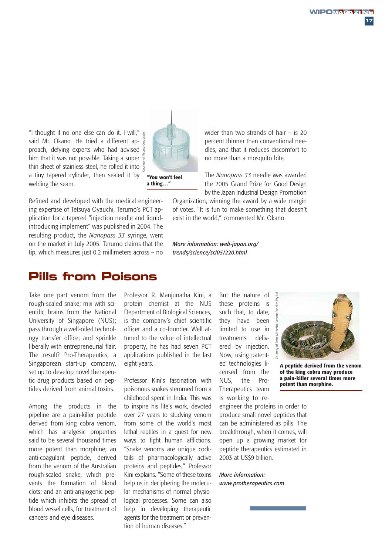"I thought if no one else can do it, I will," said Mr. Okano. He tried a different approach, defying experts who had advised him that it was not possible. Taking a super thin sheet of stainless steel, he rolled it into a tiny tapered cylinder, then sealed it by welding the seam. Courtesy of Terumo Corporation

Refined and developed with the medical engineering expertise of Tetsuya Oyauchi, Terumo's PCT application for a tapered "injection needle and liquidintroducing implement" was published in 2004. The resulting product, the *Nanopass 33* syringe, went on the market in July 2005. Terumo claims that the tip, which measures just 0.2 millimeters across – no

### **Pills from Poisons**

Take one part venom from the rough-scaled snake; mix with scientific brains from the National University of Singapore (NUS); pass through a well-oiled technology transfer office; and sprinkle liberally with entrepreneurial flair. The result? Pro-Therapeutics, a Singaporean start-up company, set up to develop novel therapeutic drug products based on peptides derived from animal toxins.

Among the products in the pipeline are a pain-killer peptide derived from king cobra venom, which has analgesic properties said to be several thousand times more potent than morphine; an anti-coagulant peptide, derived from the venom of the Australian rough-scaled snake, which prevents the formation of blood clots; and an anti-angiogenic peptide which inhibits the spread of blood vessel cells, for treatment of cancers and eye diseases.

Professor R. Manjunatha Kini, a protein chemist at the NUS Department of Biological Sciences, is the company's chief scientific officer and a co-founder. Well attuned to the value of intellectual property, he has had seven PCT applications published in the last eight years.

Professor Kini's fascination with poisonous snakes stemmed from a childhood spent in India. This was to inspire his life's work, devoted over 27 years to studying venom from some of the world's most lethal reptiles in a quest for new ways to fight human afflictions. "Snake venoms are unique cocktails of pharmacologically active proteins and peptides," Professor Kini explains. "Some of these toxins help us in deciphering the molecular mechanisms of normal physiological processes. Some can also help in developing therapeutic agents for the treatment or prevention of human diseases."

But the nature of these proteins is such that, to date, they have been limited to use in treatments delivered by injection. Now, using patented technologies licensed from the NUS, the Pro-Therapeutics team is working to re-

**A peptide derived from the venom of the king cobra may produce a pain-killer several times more** Courtesy of Peter Mirtschin, Venom Supplies Pty Ltd

wider than two strands of hair – is 20 percent thinner than conventional needles, and that it reduces discomfort to no more than a mosquito bite.

The *Nanopass 33* needle was awarded the 2005 Grand Prize for Good Design by the Japan Industrial Design Promotion

Organization, winning the award by a wide margin of votes. "It is fun to make something that doesn't exist in the world," commented Mr. Okano.

*More information: web-japan.org/ trends/science/sci051220.html*

> engineer the proteins in order to **potent than morphine.**

produce small novel peptides that can be administered as pills. The breakthrough, when it comes, will open up a growing market for peptide therapeutics estimated in 2003 at US\$9 billion.

*More information: www.protherapeutics.com*



**a thing…"**

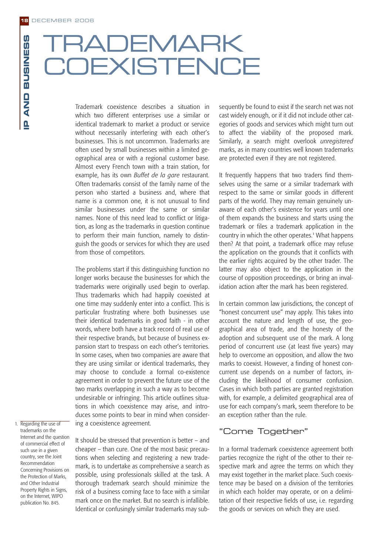# **RADEMARK OEXISTENCE**

Trademark coexistence describes a situation in which two different enterprises use a similar or identical trademark to market a product or service without necessarily interfering with each other's businesses. This is not uncommon. Trademarks are often used by small businesses within a limited geographical area or with a regional customer base. Almost every French town with a train station, for example, has its own *Buffet de la gare* restaurant. Often trademarks consist of the family name of the person who started a business and, where that name is a common one, it is not unusual to find similar businesses under the same or similar names. None of this need lead to conflict or litigation, as long as the trademarks in question continue to perform their main function, namely to distinguish the goods or services for which they are used from those of competitors.

The problems start if this distinguishing function no longer works because the businesses for which the trademarks were originally used begin to overlap. Thus trademarks which had happily coexisted at one time may suddenly enter into a conflict. This is particular frustrating where both businesses use their identical trademarks in good faith - in other words, where both have a track record of real use of their respective brands, but because of business expansion start to trespass on each other's territories. In some cases, when two companies are aware that they are using similar or identical trademarks, they may choose to conclude a formal co-existence agreement in order to prevent the future use of the two marks overlapping in such a way as to become undesirable or infringing. This article outlines situations in which coexistence may arise, and introduces some points to bear in mind when considering a coexistence agreement.

1. Regarding the use of trademarks on the Internet and the question of commercial effect of such use in a given country, see the Joint Recommendation Concerning Provisions on the Protection of Marks, and Other Industrial Property Rights in Signs, on the Internet, WIPO publication No. 845.

It should be stressed that prevention is better – and cheaper – than cure. One of the most basic precautions when selecting and registering a new trademark, is to undertake as comprehensive a search as possible, using professionals skilled at the task. A thorough trademark search should minimize the risk of a business coming face to face with a similar mark once on the market. But no search is infallible. Identical or confusingly similar trademarks may subsequently be found to exist if the search net was not cast widely enough, or if it did not include other categories of goods and services which might turn out to affect the viability of the proposed mark. Similarly, a search might overlook *unregistered* marks, as in many countries well known trademarks are protected even if they are not registered.

It frequently happens that two traders find themselves using the same or a similar trademark with respect to the same or similar goods in different parts of the world. They may remain genuinely unaware of each other's existence for years until one of them expands the business and starts using the trademark or files a trademark application in the country in which the other operates.<sup>1</sup> What happens then? At that point, a trademark office may refuse the application on the grounds that it conflicts with the earlier rights acquired by the other trader. The latter may also object to the application in the course of opposition proceedings, or bring an invalidation action after the mark has been registered.

In certain common law jurisdictions, the concept of "honest concurrent use" may apply. This takes into account the nature and length of use, the geographical area of trade, and the honesty of the adoption and subsequent use of the mark. A long period of concurrent use (at least five years) may help to overcome an opposition, and allow the two marks to coexist. However, a finding of honest concurrent use depends on a number of factors, including the likelihood of consumer confusion. Cases in which both parties are granted registration with, for example, a delimited geographical area of use for each company's mark, seem therefore to be an exception rather than the rule.

#### "Come Together"

In a formal trademark coexistence agreement both parties recognize the right of the other to their respective mark and agree the terms on which they may exist together in the market place. Such coexistence may be based on a division of the territories in which each holder may operate, or on a delimitation of their respective fields of use, i.e. regarding the goods or services on which they are used.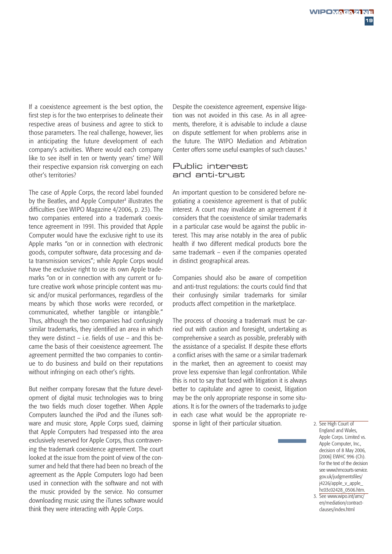If a coexistence agreement is the best option, the first step is for the two enterprises to delineate their respective areas of business and agree to stick to those parameters. The real challenge, however, lies in anticipating the future development of each company's activities. Where would each company like to see itself in ten or twenty years' time? Will their respective expansion risk converging on each other's territories?

The case of Apple Corps, the record label founded by the Beatles, and Apple Computer<sup>2</sup> illustrates the difficulties (see WIPO Magazine 4/2006, p. 23). The two companies entered into a trademark coexistence agreement in 1991. This provided that Apple Computer would have the exclusive right to use its Apple marks "on or in connection with electronic goods, computer software, data processing and data transmission services"; while Apple Corps would have the exclusive right to use its own Apple trademarks "on or in connection with any current or future creative work whose principle content was music and/or musical performances, regardless of the means by which those works were recorded, or communicated, whether tangible or intangible." Thus, although the two companies had confusingly similar trademarks, they identified an area in which they were distinct – i.e. fields of use – and this became the basis of their coexistence agreement. The agreement permitted the two companies to continue to do business and build on their reputations without infringing on each other's rights.

But neither company foresaw that the future development of digital music technologies was to bring the two fields much closer together. When Apple Computers launched the iPod and the iTunes software and music store, Apple Corps sued, claiming that Apple Computers had trespassed into the area exclusively reserved for Apple Corps, thus contravening the trademark coexistence agreement. The court looked at the issue from the point of view of the consumer and held that there had been no breach of the agreement as the Apple Computers logo had been used in connection with the software and not with the music provided by the service. No consumer downloading music using the iTunes software would think they were interacting with Apple Corps.

Despite the coexistence agreement, expensive litigation was not avoided in this case. As in all agreements, therefore, it is advisable to include a clause on dispute settlement for when problems arise in the future. The WIPO Mediation and Arbitration Center offers some useful examples of such clauses.<sup>3</sup>

#### Public interest and anti-trust

An important question to be considered before negotiating a coexistence agreement is that of public interest. A court may invalidate an agreement if it considers that the coexistence of similar trademarks in a particular case would be against the public interest. This may arise notably in the area of public health if two different medical products bore the same trademark – even if the companies operated in distinct geographical areas.

Companies should also be aware of competition and anti-trust regulations: the courts could find that their confusingly similar trademarks for similar products affect competition in the marketplace.

The process of choosing a trademark must be carried out with caution and foresight, undertaking as comprehensive a search as possible, preferably with the assistance of a specialist. If despite these efforts a conflict arises with the same or a similar trademark in the market, then an agreement to coexist may prove less expensive than legal confrontation. While this is not to say that faced with litigation it is always better to capitulate and agree to coexist, litigation may be the only appropriate response in some situations. It is for the owners of the trademarks to judge in each case what would be the appropriate response in light of their particular situation. 2. See High Court of

England and Wales, Apple Corps. Limited vs. Apple Computer, Inc., decision of 8 May 2006, [2006] EWHC 996 (Ch). For the text of the decision see www.hmcourts-service. gov.uk/judgmentsfiles/ j4226/apple\_v\_apple\_ hc03c02428\_0506.htm.

<sup>3.</sup> See www.wipo.int/amc/ en/mediation/contractclauses/index.html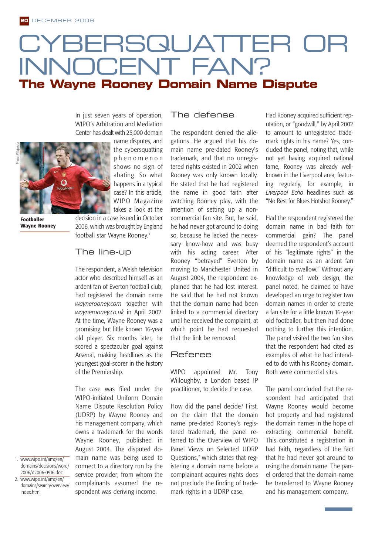## CYBERSQUATTER C INNOCENT FAN? **The Wayne Rooney Domain Name Dispute**

The defense

In just seven years of operation, WIPO's Arbitration and Mediation Center has dealt with 25,000 domain



**Footballer Wayne Rooney** name disputes, and the cybersquatting phenomenon shows no sign of abating. So what happens in a typical case? In this article, WIPO Magazine takes a look at the

decision in a case issued in October 2006, which was brought by England football star Wayne Rooney.<sup>1</sup>

#### The line-up

The respondent, a Welsh television actor who described himself as an ardent fan of Everton football club, had registered the domain name *waynerooney.com* together with *waynerooney.co.uk* in April 2002. At the time, Wayne Rooney was a promising but little known 16-year old player. Six months later, he scored a spectacular goal against Arsenal, making headlines as the youngest goal-scorer in the history of the Premiership.

The case was filed under the WIPO-initiated Uniform Domain Name Dispute Resolution Policy (UDRP) by Wayne Rooney and his management company, which owns a trademark for the words Wayne Rooney, published in August 2004. The disputed domain name was being used to connect to a directory run by the service provider, from whom the complainants assumed the respondent was deriving income.

The respondent denied the allegations. He argued that his domain name pre-dated Rooney's trademark, and that no unregistered rights existed in 2002 when Rooney was only known locally. He stated that he had registered the name in good faith after watching Rooney play, with the intention of setting up a noncommercial fan site. But, he said, he had never got around to doing so, because he lacked the necessary know-how and was busy with his acting career. After Rooney "betrayed" Everton by moving to Manchester United in August 2004, the respondent explained that he had lost interest. He said that he had not known that the domain name had been linked to a commercial directory until he received the complaint, at which point he had requested that the link be removed.

#### Referee

WIPO appointed Mr. Tony Willoughby, a London based IP practitioner, to decide the case.

How did the panel decide? First, on the claim that the domain name pre-dated Rooney's registered trademark, the panel referred to the Overview of WIPO Panel Views on Selected UDRP Questions,<sup>2</sup> which states that registering a domain name before a complainant acquires rights does not preclude the finding of trademark rights in a UDRP case.

Had Rooney acquired sufficient reputation, or "goodwill," by April 2002 to amount to unregistered trademark rights in his name? Yes, concluded the panel, noting that, while not yet having acquired national fame, Rooney was already wellknown in the Liverpool area, featuring regularly, for example, in *Liverpool Echo* headlines such as "No Rest for Blues Hotshot Rooney."

Had the respondent registered the domain name in bad faith for commercial gain? The panel deemed the respondent's account of his "legitimate rights" in the domain name as an ardent fan "difficult to swallow." Without any knowledge of web design, the panel noted, he claimed to have developed an urge to register two domain names in order to create a fan site for a little known 16-year old footballer, but then had done nothing to further this intention. The panel visited the two fan sites that the respondent had cited as examples of what he had intended to do with his Rooney domain. Both were commercial sites.

The panel concluded that the respondent had anticipated that Wayne Rooney would become hot property and had registered the domain names in the hope of extracting commercial benefit. This constituted a registration in bad faith, regardless of the fact that he had never got around to using the domain name. The panel ordered that the domain name be transferred to Wayne Rooney and his management company.

1. www.wipo.int/amc/en/ domains/decisions/word/ 2006/d2006-0916.doc 2. www.wipo.int/amc/en/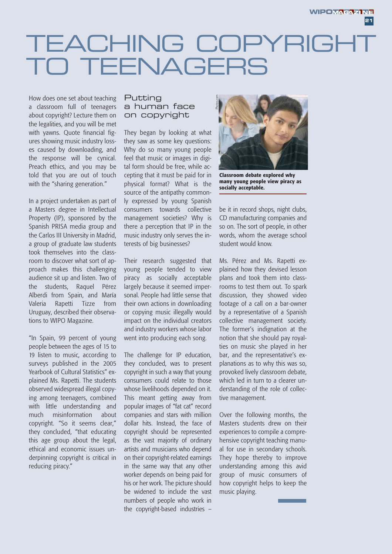# TEACHING COPYRIGH TO TEENAGERS

How does one set about teaching a classroom full of teenagers about copyright? Lecture them on the legalities, and you will be met with yawns. Quote financial figures showing music industry losses caused by downloading, and the response will be cynical. Preach ethics, and you may be told that you are out of touch with the "sharing generation."

In a project undertaken as part of a Masters degree in Intellectual Property (IP), sponsored by the Spanish PRISA media group and the Carlos III University in Madrid, a group of graduate law students took themselves into the classroom to discover what sort of approach makes this challenging audience sit up and listen. Two of the students, Raquel Pérez Alberdi from Spain, and María Valeria Rapetti Tizze from Uruguay, described their observations to WIPO Magazine.

"In Spain, 99 percent of young people between the ages of 15 to 19 listen to music, according to surveys published in the 2005 Yearbook of Cultural Statistics" explained Ms. Rapetti. The students observed widespread illegal copying among teenagers, combined with little understanding and much misinformation about copyright. "So it seems clear," they concluded, "that educating this age group about the legal, ethical and economic issues underpinning copyright is critical in reducing piracy."

#### Putting a human face on copyright

They began by looking at what they saw as some key questions: Why do so many young people feel that music or images in digital form should be free, while accepting that it must be paid for in physical format? What is the source of the antipathy commonly expressed by young Spanish consumers towards collective management societies? Why is there a perception that IP in the music industry only serves the interests of big businesses?

Their research suggested that young people tended to view piracy as socially acceptable largely because it seemed impersonal. People had little sense that their own actions in downloading or copying music illegally would impact on the individual creators and industry workers whose labor went into producing each song.

The challenge for IP education, they concluded, was to present copyright in such a way that young consumers could relate to those whose livelihoods depended on it. This meant getting away from popular images of "fat cat" record companies and stars with million dollar hits. Instead, the face of copyright should be represented as the vast majority of ordinary artists and musicians who depend on their copyright-related earnings in the same way that any other worker depends on being paid for his or her work. The picture should be widened to include the vast numbers of people who work in the copyright-based industries –



**Classroom debate explored why many young people view piracy as socially acceptable.**

be it in record shops, night clubs, CD manufacturing companies and so on. The sort of people, in other words, whom the average school student would know.

Ms. Pérez and Ms. Rapetti explained how they devised lesson plans and took them into classrooms to test them out. To spark discussion, they showed video footage of a call on a bar-owner by a representative of a Spanish collective management society. The former's indignation at the notion that she should pay royalties on music she played in her bar, and the representative's explanations as to why this was so, provoked lively classroom debate, which led in turn to a clearer understanding of the role of collective management.

Over the following months, the Masters students drew on their experiences to compile a comprehensive copyright teaching manual for use in secondary schools. They hope thereby to improve understanding among this avid group of music consumers of how copyright helps to keep the music playing.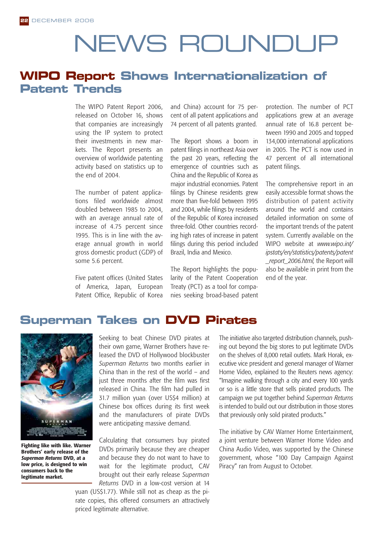# NEWS ROUNDUP

## **WIPO Report Shows Internationalization of Patent Trends**

The WIPO Patent Report 2006, released on October 16, shows that companies are increasingly using the IP system to protect their investments in new markets. The Report presents an overview of worldwide patenting activity based on statistics up to the end of 2004.

The number of patent applications filed worldwide almost doubled between 1985 to 2004, with an average annual rate of increase of 4.75 percent since 1995. This is in line with the average annual growth in world gross domestic product (GDP) of some 5.6 percent.

Five patent offices (United States of America, Japan, European Patent Office, Republic of Korea and China) account for 75 percent of all patent applications and 74 percent of all patents granted.

The Report shows a boom in patent filings in northeast Asia over the past 20 years, reflecting the emergence of countries such as China and the Republic of Korea as major industrial economies. Patent filings by Chinese residents grew more than five-fold between 1995 and 2004, while filings by residents of the Republic of Korea increased three-fold. Other countries recording high rates of increase in patent filings during this period included Brazil, India and Mexico.

The Report highlights the popularity of the Patent Cooperation Treaty (PCT) as a tool for companies seeking broad-based patent

protection. The number of PCT applications grew at an average annual rate of 16.8 percent between 1990 and 2005 and topped 134,000 international applications in 2005. The PCT is now used in 47 percent of all international patent filings.

The comprehensive report in an easily accessible format shows the distribution of patent activity around the world and contains detailed information on some of the important trends of the patent system. Currently available on the WIPO website at *www.wipo.int/ ipstats/en/statistics/patents/patent \_report\_2006.html,* the Report will also be available in print from the end of the year.

### **Superman Takes on DVD Pirates**



**Fighting like with like. Warner Brothers' early release of the** *Superman Returns* **DVD, at a low price, is designed to win consumers back to the legitimate market.**

Seeking to beat Chinese DVD pirates at their own game, Warner Brothers have released the DVD of Hollywood blockbuster *Superman Returns* two months earlier in China than in the rest of the world – and just three months after the film was first released in China. The film had pulled in 31.7 million yuan (over US\$4 million) at Chinese box offices during its first week and the manufacturers of pirate DVDs were anticipating massive demand.

Calculating that consumers buy pirated DVDs primarily because they are cheaper and because they do not want to have to wait for the legitimate product, CAV brought out their early release *Superman Returns* DVD in a low-cost version at 14 yuan (US\$1.77). While still not as cheap as the pi-

rate copies, this offered consumers an attractively priced legitimate alternative.

The initiative also targeted distribution channels, pushing out beyond the big stores to put legitimate DVDs on the shelves of 8,000 retail outlets. Mark Horak, executive vice president and general manager of Warner Home Video, explained to the Reuters news agency: "Imagine walking through a city and every 100 yards or so is a little store that sells pirated products. The campaign we put together behind *Superman Returns* is intended to build out our distribution in those stores that previously only sold pirated products."

The initiative by CAV Warner Home Entertainment, a joint venture between Warner Home Video and China Audio Video, was supported by the Chinese government, whose "100 Day Campaign Against Piracy" ran from August to October.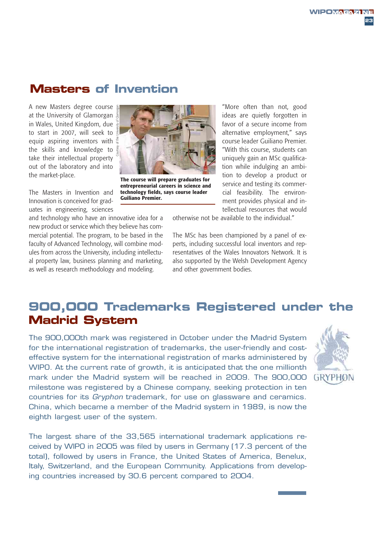## **Masters of Invention**

A new Masters degree course at the University of Glamorgan in Wales, United Kingdom, due to start in 2007, will seek to equip aspiring inventors with the skills and knowledge to take their intellectual property out of the laboratory and into the market-place.

The Masters in Invention and Innovation is conceived for graduates in engineering, sciences

and technology who have an innovative idea for a new product or service which they believe has commercial potential. The program, to be based in the faculty of Advanced Technology, will combine modules from across the University, including intellectual property law, business planning and marketing, as well as research methodology and modeling.



**The course will prepare graduates for entrepreneurial careers in science and technology fields, says course leader Guiliano Premier.**

"More often than not, good ideas are quietly forgotten in favor of a secure income from alternative employment," says course leader Guiliano Premier. "With this course, students can uniquely gain an MSc qualification while indulging an ambition to develop a product or service and testing its commercial feasibility. The environment provides physical and intellectual resources that would

otherwise not be available to the individual."

The MSc has been championed by a panel of experts, including successful local inventors and representatives of the Wales Innovators Network. It is also supported by the Welsh Development Agency and other government bodies.

## **900,000 Trademarks Registered under the Madrid System**

The 900,000th mark was registered in October under the Madrid System for the international registration of trademarks, the user-friendly and costeffective system for the international registration of marks administered by WIPO. At the current rate of growth, it is anticipated that the one millionth mark under the Madrid system will be reached in 2009. The 900,000 milestone was registered by a Chinese company, seeking protection in ten countries for its *Gryphon* trademark, for use on glassware and ceramics. China, which became a member of the Madrid system in 1989, is now the eighth largest user of the system.

The largest share of the 33,565 international trademark applications received by WIPO in 2005 was filed by users in Germany (17.3 percent of the total), followed by users in France, the United States of America, Benelux, Italy, Switzerland, and the European Community. Applications from developing countries increased by 30.6 percent compared to 2004.

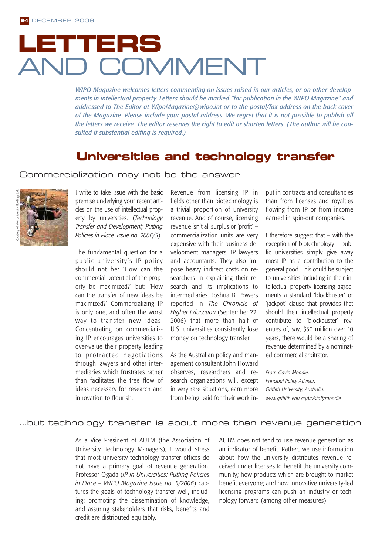# **LETTERS** AND COMMENT

*WIPO Magazine welcomes letters commenting on issues raised in our articles, or on other developments in intellectual property. Letters should be marked "for publication in the WIPO Magazine" and addressed to The Editor at WipoMagazine@wipo.int or to the postal/fax address on the back cover of the Magazine. Please include your postal address. We regret that it is not possible to publish all the letters we receive. The editor reserves the right to edit or shorten letters. (The author will be consulted if substantial editing is required.)*

### **Universities and technology transfer**

#### Commercialization may not be the answer



I write to take issue with the basic premise underlying your recent articles on the use of intellectual property by universities. (*Technology Transfer and Development; Putting Policies in Place. Issue no. 2006/5*)

The fundamental question for a public university's IP policy should not be: 'How can the commercial potential of the property be maximized?' but: 'How can the transfer of new ideas be maximized?' Commercializing IP is only one, and often the worst way to transfer new ideas. Concentrating on commercializing IP encourages universities to over-value their property leading to protracted negotiations through lawyers and other intermediaries which frustrates rather than facilitates the free flow of ideas necessary for research and innovation to flourish.

Revenue from licensing IP in fields other than biotechnology is a trivial proportion of university revenue. And of course, licensing revenue isn't all surplus or 'profit' – commercialization units are very expensive with their business development managers, IP lawyers and accountants. They also impose heavy indirect costs on researchers in explaining their research and its implications to intermediaries. Joshua B. Powers reported in *The Chronicle of Higher Education* (September 22, 2006) that more than half of U.S. universities consistently lose money on technology transfer.

As the Australian policy and management consultant John Howard observes, researchers and research organizations will, except in very rare situations, earn more from being paid for their work input in contracts and consultancies than from licenses and royalties flowing from IP or from income earned in spin-out companies.

I therefore suggest that – with the exception of biotechnology – public universities simply give away most IP as a contribution to the general good. This could be subject to universities including in their intellectual property licensing agreements a standard 'blockbuster' or 'jackpot' clause that provides that should their intellectual property contribute to 'blockbuster' revenues of, say, \$50 million over 10 years, there would be a sharing of revenue determined by a nominated commercial arbitrator.

*From Gavin Moodie, Principal Policy Advisor, Griffith University, Australia. www.griffith.edu.au/vc/staff/moodie*

#### …but technology transfer is about more than revenue generation

As a Vice President of AUTM (the Association of University Technology Managers), I would stress that most university technology transfer offices do not have a primary goal of revenue generation. Professor Ogada (*IP in Universities: Putting Policies in Place – WIPO Magazine Issue no. 5/2006*) captures the goals of technology transfer well, including: promoting the dissemination of knowledge, and assuring stakeholders that risks, benefits and credit are distributed equitably.

AUTM does not tend to use revenue generation as an indicator of benefit. Rather, we use information about how the university distributes revenue received under licenses to benefit the university community; how products which are brought to market benefit everyone; and how innovative university-led licensing programs can push an industry or technology forward (among other measures).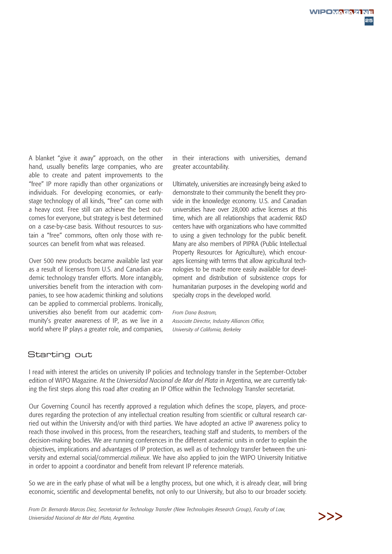A blanket "give it away" approach, on the other hand, usually benefits large companies, who are able to create and patent improvements to the "free" IP more rapidly than other organizations or individuals. For developing economies, or earlystage technology of all kinds, "free" can come with a heavy cost. Free still can achieve the best outcomes for everyone, but strategy is best determined on a case-by-case basis. Without resources to sustain a "free" commons, often only those with resources can benefit from what was released.

Over 500 new products became available last year as a result of licenses from U.S. and Canadian academic technology transfer efforts. More intangibly, universities benefit from the interaction with companies, to see how academic thinking and solutions can be applied to commercial problems. Ironically, universities also benefit from our academic community's greater awareness of IP, as we live in a world where IP plays a greater role, and companies,

in their interactions with universities, demand greater accountability.

Ultimately, universities are increasingly being asked to demonstrate to their community the benefit they provide in the knowledge economy. U.S. and Canadian universities have over 28,000 active licenses at this time, which are all relationships that academic R&D centers have with organizations who have committed to using a given technology for the public benefit. Many are also members of PIPRA (Public Intellectual Property Resources for Agriculture), which encourages licensing with terms that allow agricultural technologies to be made more easily available for development and distribution of subsistence crops for humanitarian purposes in the developing world and specialty crops in the developed world.

*From Dana Bostrom, Associate Director, Industry Alliances Office, University of California, Berkeley* 

#### Starting out

I read with interest the articles on university IP policies and technology transfer in the September-October edition of WIPO Magazine. At the *Universidad Nacional de Mar del Plata* in Argentina, we are currently taking the first steps along this road after creating an IP Office within the Technology Transfer secretariat.

Our Governing Council has recently approved a regulation which defines the scope, players, and procedures regarding the protection of any intellectual creation resulting from scientific or cultural research carried out within the University and/or with third parties. We have adopted an active IP awareness policy to reach those involved in this process, from the researchers, teaching staff and students, to members of the decision-making bodies. We are running conferences in the different academic units in order to explain the objectives, implications and advantages of IP protection, as well as of technology transfer between the university and external social/commercial *milieux*. We have also applied to join the WIPO University Initiative in order to appoint a coordinator and benefit from relevant IP reference materials.

So we are in the early phase of what will be a lengthy process, but one which, it is already clear, will bring economic, scientific and developmental benefits, not only to our University, but also to our broader society.

*From Dr. Bernardo Marcos Diez, Secretariat for Technology Transfer (New Technologies Research Group), Faculty of Law, Universidad Nacional de Mar del Plata, Argentina.*

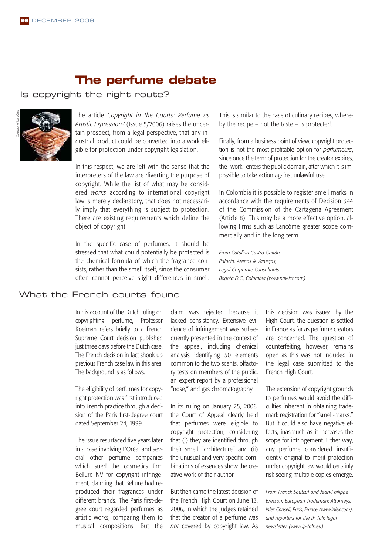### **The perfume debate**

#### Is copyright the right route?



The article *Copyright in the Courts: Perfume as Artistic Expression?* (Issue 5/2006) raises the uncertain prospect, from a legal perspective, that any industrial product could be converted into a work eligible for protection under copyright legislation.

In this respect, we are left with the sense that the interpreters of the law are diverting the purpose of copyright. While the list of what may be considered *works* according to international copyright law is merely declaratory, that does not necessarily imply that everything is subject to protection. There are existing requirements which define the object of copyright.

In the specific case of perfumes, it should be stressed that what could potentially be protected is the chemical formula of which the fragrance consists, rather than the smell itself, since the consumer often cannot perceive slight differences in smell.

#### What the French courts found

In his account of the Dutch ruling on copyrighting perfume, Professor Koelman refers briefly to a French Supreme Court decision published just three days before the Dutch case. The French decision in fact shook up previous French case law in this area. The background is as follows.

The eligibility of perfumes for copyright protection was first introduced into French practice through a decision of the Paris first-degree court dated September 24, 1999.

The issue resurfaced five years later in a case involving L'Oréal and several other perfume companies which sued the cosmetics firm Bellure NV for copyright infringement, claiming that Bellure had reproduced their fragrances under different brands. The Paris first-degree court regarded perfumes as artistic works, comparing them to musical compositions. But the

claim was rejected because it lacked consistency. Extensive evidence of infringement was subsequently presented in the context of the appeal, including chemical analysis identifying 50 elements common to the two scents, olfactory tests on members of the public, an expert report by a professional "nose," and gas chromatography.

In its ruling on January 25, 2006, the Court of Appeal clearly held that perfumes were eligible to copyright protection, considering that (i) they are identified through their smell "architecture" and (ii) the unusual and very specific combinations of essences show the creative work of their author.

But then came the latest decision of the French High Court on June 13, 2006, in which the judges retained that the creator of a perfume was *not* covered by copyright law. As

This is similar to the case of culinary recipes, whereby the recipe – not the taste – is protected.

Finally, from a business point of view, copyright protection is not the most profitable option for *parfumeurs*, since once the term of protection for the creator expires, the "work" enters the public domain, after which it is impossible to take action against unlawful use.

In Colombia it is possible to register smell marks in accordance with the requirements of Decision 344 of the Commission of the Cartagena Agreement (Article 8). This may be a more effective option, allowing firms such as Lancôme greater scope commercially and in the long term.

*From Catalina Castro Gaitán, Palacio, Arenas & Vanegas, Legal Corporate Consultants Bogotá D.C., Colombia (www.pav-lcc.com)*

> this decision was issued by the High Court, the question is settled in France as far as perfume creators are concerned. The question of counterfeiting, however, remains open as this was not included in the legal case submitted to the French High Court.

> The extension of copyright grounds to perfumes would avoid the difficulties inherent in obtaining trademark registration for "smell-marks." But it could also have negative effects, inasmuch as it increases the scope for infringement. Either way, any perfume considered insufficiently original to merit protection under copyright law would certainly risk seeing multiple copies emerge.

*From Franck Soutoul and Jean-Philippe Bresson, European Trademark Attorneys, Inlex Conseil, Paris, France (www.inlex.com), and reporters for the IP Talk legal newsletter (www.ip-talk.eu).*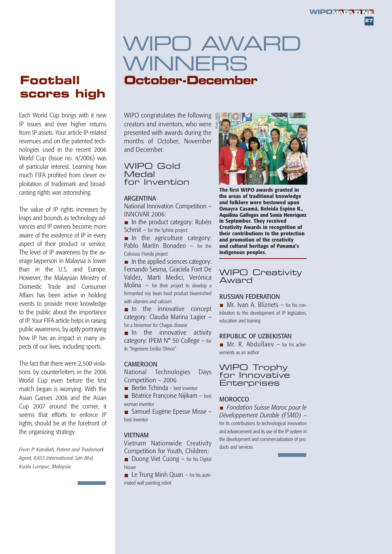## WIPO AWARD WINNERS **Football October-December**

# **scores high**

Each World Cup brings with it new IP issues and ever higher returns from IP assets. Your article IP-related revenues and on the patented technologies used in the recent 2006 World Cup (Issue no. 4/2006) was of particular interest. Learning how much FIFA profited from clever exploitation of trademark and broadcasting rights was astonishing.

The value of IP rights increases by leaps and bounds as technology advances and IP owners become more aware of the existence of IP in every aspect of their product or service. The level of IP awareness by the average layperson in Malaysia is lower than in the U.S. and Europe. However, the Malaysian Ministry of Domestic Trade and Consumer Affairs has been active in holding events to provide more knowledge to the public about the importance of IP. Your FIFA article helps in raising public awareness, by aptly portraying how IP has an impact in many aspects of our lives, including sports.

The fact that there were 2,500 violations by counterfeiters in the 2006 World Cup even before the first match began is worrying. With the Asian Games 2006 and the Asian Cup 2007 around the corner, it seems that efforts to enforce IP rights should be at the forefront of the organizing strategy.

*From P. Kandiah, Patent and Trademark Agent, KASS International Sdn Bhd, Kuala Lumpur, Malaysia*

WIPO congratulates the following creators and inventors, who were presented with awards during the months of October, November and December.

WIPO Gold **Medal** for Invention

#### ARGENTINA

National Innovation Competition – INNOVAR 2006:

 $\blacksquare$  In the product category: Rubén Schmit – for the Sphinx project

In the agriculture category: Pablo Martín Bonadeo – for the Colossus Florida project

 $\blacksquare$  In the applied sciences category: Fernando Sesma, Graciela Font De Valdez, Marti Medici, Verónica Molina – for their project to develop a fermented soy bean food product bioenriched with vitamins and calcium

In the innovative concept category: Claudia Marina Lagier – for a biosensor for Chagas disease

In the innovative activity category: IPEM N° 50 College – for its "Ingeniero Emilio Olmos"

#### CA MEROON

National Technologies Days Competition – 2006

- $\blacksquare$  Bertin Tchinda best inventor
- $\blacksquare$  Béatrice Francoise Nijikam best woman inventor

■ Samuel Eugène Epesse Misse – best inventor

#### VIETNAM

Vietnam Nationwide Creativity Competition for Youth, Children:

Duong Viet Cuong  $-$  for his Digital House

 $\blacksquare$  Le Trung Minh Quan – for his automated wall painting robot



**The first WIPO awards granted in the areas of traditional knowledge and folklore were bestowed upon Omayra Casamá, Beleida Espino R., Aquilina Gallegos and Sonia Henríquez in September. They received Creativity Awards in recognition of their contributions to the protection and promotion of the creativity and cultural heritage of Panama's indigenous peoples.**

#### WIPO Creativity Award

#### RUSSIAN FEDERATION

**Mr.** Ivan A. Bliznets  $-$  for his contribution to the development of IP legislation, education and training

#### RE PUBLIC OF UZBEKISTAN

 $Mr$ . R. Abdullaev – for his achievements as an author

#### WIPO Trophy for Innovative **Enterprises**

#### **MOROCCO**

*Fondation Suisse Maroc pour le Développement Durable (FSMD)* – for its contributions to technological innovation and advancement and its use of the IP system in the development and commercialization of products and services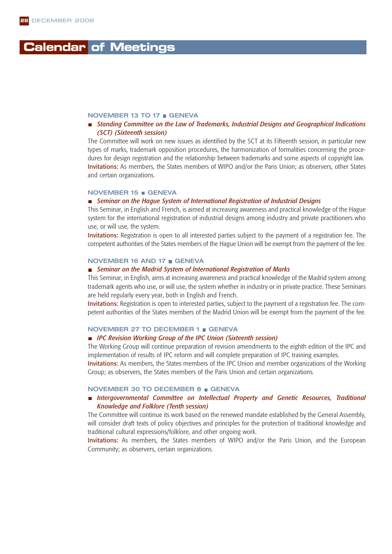### **Calendar of Meetings**

#### NOVEMBER 13 TO 17 GENEVA

#### *Standing Committee on the Law of Trademarks, Industrial Designs and Geographical Indications (SCT) (Sixteenth session)*

The Committee will work on new issues as identified by the SCT at its Fifteenth session, in particular new types of marks, trademark opposition procedures, the harmonization of formalities concerning the procedures for design registration and the relationship between trademarks and some aspects of copyright law. Invitations: As members, the States members of WIPO and/or the Paris Union; as observers, other States and certain organizations.

#### NOVEMBER 15 GENEVA

#### *Seminar on the Hague System of International Registration of Industrial Designs*

This Seminar, in English and French, is aimed at increasing awareness and practical knowledge of the Hague system for the international registration of industrial designs among industry and private practitioners who use, or will use, the system.

Invitations: Registration is open to all interested parties subject to the payment of a registration fee. The competent authorities of the States members of the Hague Union will be exempt from the payment of the fee.

#### NOVEMBER 16 AND 17 GENEVA

#### *Seminar on the Madrid System of International Registration of Marks*

This Seminar, in English, aims at increasing awareness and practical knowledge of the Madrid system among trademark agents who use, or will use, the system whether in industry or in private practice. These Seminars are held regularly every year, both in English and French.

Invitations: Registration is open to interested parties, subject to the payment of a registration fee. The competent authorities of the States members of the Madrid Union will be exempt from the payment of the fee.

#### NOVEMBER 27 TO DECEMBER 1 GENEVA

#### ■ *IPC Revision Working Group of the IPC Union (Sixteenth session)*

The Working Group will continue preparation of revision amendments to the eighth edition of the IPC and implementation of results of IPC reform and will complete preparation of IPC training examples.

Invitations: As members, the States members of the IPC Union and member organizations of the Working Group; as observers, the States members of the Paris Union and certain organizations.

#### NOVEMBER 30 TO DECEMBER 8 GENEVA

#### *Intergovernmental Committee on Intellectual Property and Genetic Resources, Traditional Knowledge and Folklore (Tenth session)*

The Committee will continue its work based on the renewed mandate established by the General Assembly, will consider draft texts of policy objectives and principles for the protection of traditional knowledge and traditional cultural expressions/folklore, and other ongoing work.

Invitations: As members, the States members of WIPO and/or the Paris Union, and the European Community; as observers, certain organizations.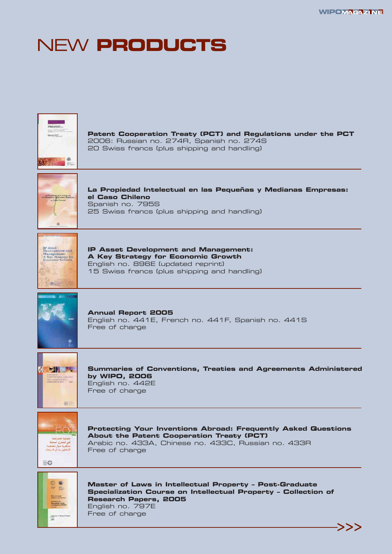## NEW **PRODUCTS**